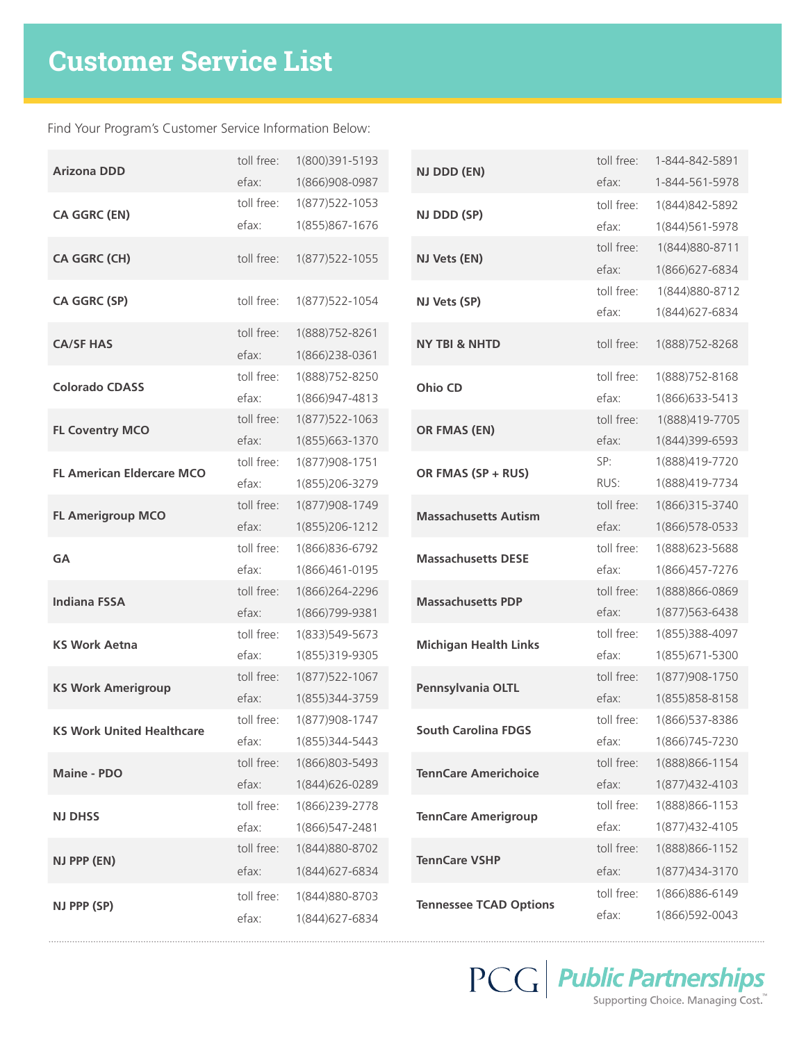Find Your Program's Customer Service Information Below:

| <b>Arizona DDD</b>               | toll free: | 1(800)391-5193    |              | NJ DDD (EN)                   | toll free: | 1-844-842-5891    |
|----------------------------------|------------|-------------------|--------------|-------------------------------|------------|-------------------|
|                                  | efax:      | 1(866)908-0987    |              |                               | efax:      | 1-844-561-5978    |
| <b>CA GGRC (EN)</b>              | toll free: | 1(877) 522 - 1053 |              | NJ DDD (SP)                   | toll free: | 1(844) 842-5892   |
|                                  | efax:      | 1(855)867-1676    |              |                               | efax:      | 1(844) 561-5978   |
| CA GGRC (CH)                     | toll free: | 1(877) 522 - 1055 |              | NJ Vets (EN)                  | toll free: | 1(844) 880-8711   |
|                                  |            |                   |              |                               | efax:      | 1(866) 627-6834   |
| CA GGRC (SP)                     | toll free: | 1(877) 522-1054   | NJ Vets (SP) |                               | toll free: | 1(844) 880-8712   |
|                                  |            |                   |              |                               | efax:      | 1(844)627-6834    |
| <b>CA/SF HAS</b>                 | toll free: | 1(888) 752-8261   |              | <b>NY TBI &amp; NHTD</b>      | toll free: | 1(888) 752-8268   |
|                                  | efax:      | 1(866)238-0361    |              |                               |            |                   |
| <b>Colorado CDASS</b>            | toll free: | 1(888) 752-8250   |              | <b>Ohio CD</b>                | toll free: | 1(888) 752-8168   |
|                                  | efax:      | 1(866) 947-4813   |              |                               | efax:      | 1(866) 633-5413   |
| <b>FL Coventry MCO</b>           | toll free: | 1(877) 522-1063   |              | OR FMAS (EN)                  | toll free: | 1(888)419-7705    |
|                                  | efax:      | 1(855)663-1370    |              |                               | efax:      | 1(844)399-6593    |
| <b>FL American Eldercare MCO</b> | toll free: | 1(877) 908 - 1751 |              | OR FMAS (SP + RUS)            | SP:        | 1(888)419-7720    |
|                                  | efax:      | 1(855)206-3279    |              |                               | RUS:       | 1(888)419-7734    |
| <b>FL Amerigroup MCO</b>         | toll free: | 1(877) 908 - 1749 |              | <b>Massachusetts Autism</b>   | toll free: | 1(866) 315 - 3740 |
|                                  | efax:      | 1(855)206-1212    |              |                               | efax:      | 1(866) 578-0533   |
| <b>GA</b>                        | toll free: | 1(866) 836-6792   |              | <b>Massachusetts DESE</b>     | toll free: | 1(888) 623-5688   |
|                                  | efax:      | 1(866)461-0195    |              |                               | efax:      | 1(866) 457-7276   |
| <b>Indiana FSSA</b>              | toll free: | 1(866)264-2296    |              | <b>Massachusetts PDP</b>      | toll free: | 1(888)866-0869    |
|                                  | efax:      | 1(866) 799-9381   |              |                               | efax:      | 1(877) 563 - 6438 |
| <b>KS Work Aetna</b>             | toll free: | 1(833) 549-5673   |              | <b>Michigan Health Links</b>  | toll free: | 1(855)388-4097    |
|                                  | efax:      | 1(855)319-9305    |              |                               | efax:      | 1(855) 671-5300   |
| <b>KS Work Amerigroup</b>        | toll free: | 1(877) 522-1067   |              | Pennsylvania OLTL             | toll free: | 1(877) 908 - 1750 |
|                                  | efax:      | 1(855)344-3759    |              |                               | efax:      | 1(855) 858-8158   |
| <b>KS Work United Healthcare</b> | toll free: | 1(877) 908 - 1747 |              | <b>South Carolina FDGS</b>    | toll free: | 1(866) 537-8386   |
|                                  | efax:      | 1(855)344-5443    |              |                               | efax:      | 1(866) 745 - 7230 |
| <b>Maine - PDO</b>               | toll free: | 1(866)803-5493    |              | <b>TennCare Americhoice</b>   | toll free: | 1(888) 866-1154   |
|                                  | efax:      | 1(844)626-0289    |              |                               | efax:      | 1(877) 432-4103   |
| <b>NJ DHSS</b>                   | toll free: | 1(866)239-2778    |              | <b>TennCare Amerigroup</b>    | toll free: | 1(888) 866-1153   |
|                                  | efax:      | 1(866) 547-2481   |              |                               | efax:      | 1(877) 432-4105   |
| NJ PPP (EN)                      | toll free: | 1(844) 880-8702   |              | <b>TennCare VSHP</b>          | toll free: | 1(888) 866-1152   |
|                                  | efax:      | 1(844)627-6834    |              |                               | efax:      | 1(877) 434-3170   |
| NJ PPP (SP)                      | toll free: | 1(844)880-8703    |              | <b>Tennessee TCAD Options</b> | toll free: | 1(866)886-6149    |
|                                  | efax:      | 1(844)627-6834    |              |                               | efax:      | 1(866) 592-0043   |

 $\overline{\mathrm{PCG}}$  **Public Partnerships**